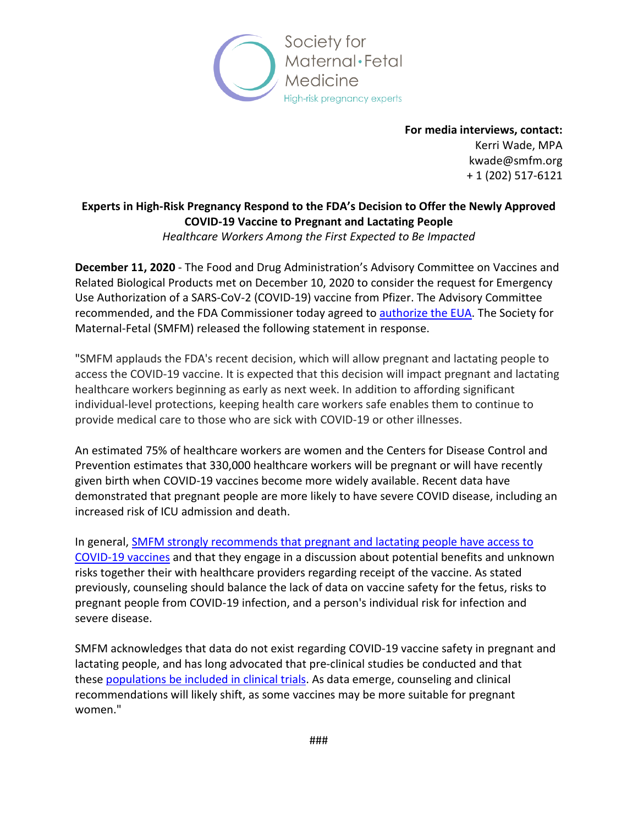

**For media interviews, contact:**  Kerri Wade, MPA kwade@smfm.org + 1 (202) 517-6121

## **Experts in High-Risk Pregnancy Respond to the FDA's Decision to Offer the Newly Approved COVID-19 Vaccine to Pregnant and Lactating People** *Healthcare Workers Among the First Expected to Be Impacted*

**December 11, 2020** - The Food and Drug Administration's Advisory Committee on Vaccines and Related Biological Products met on December 10, 2020 to consider the request for Emergency Use Authorization of a SARS-CoV-2 (COVID-19) vaccine from Pfizer. The Advisory Committee recommended, and the FDA Commissioner today agreed to [authorize](https://www.fda.gov/news-events/press-announcements/fda-takes-key-action-fight-against-covid-19-issuing-emergency-use-authorization-first-covid-19) the EUA. The Society for Maternal-Fetal (SMFM) released the following statement in response.

"SMFM applauds the FDA's recent decision, which will allow pregnant and lactating people to access the COVID-19 vaccine. It is expected that this decision will impact pregnant and lactating healthcare workers beginning as early as next week. In addition to affording significant individual-level protections, keeping health care workers safe enables them to continue to provide medical care to those who are sick with COVID-19 or other illnesses.

An estimated 75% of healthcare workers are women and the Centers for Disease Control and Prevention estimates that 330,000 healthcare workers will be pregnant or will have recently given birth when COVID-19 vaccines become more widely available. Recent data have demonstrated that pregnant people are more likely to have severe COVID disease, including an increased risk of ICU admission and death.

In general, [SMFM strongly recommends that pregnant and lactating people have access to](https://s3.amazonaws.com/cdn.smfm.org/media/2591/SMFM_Vaccine_Statement_12-1-20_(final).pdf)  [COVID-19 vaccines](https://s3.amazonaws.com/cdn.smfm.org/media/2591/SMFM_Vaccine_Statement_12-1-20_(final).pdf) and that they engage in a discussion about potential benefits and unknown risks together their with healthcare providers regarding receipt of the vaccine. As stated previously, counseling should balance the lack of data on vaccine safety for the fetus, risks to pregnant people from COVID-19 infection, and a person's individual risk for infection and severe disease.

SMFM acknowledges that data do not exist regarding COVID-19 vaccine safety in pregnant and lactating people, and has long advocated that pre-clinical studies be conducted and that these [populations be included in clinical trials.](https://www.smfm.org/advocacy/camt) As data emerge, counseling and clinical recommendations will likely shift, as some vaccines may be more suitable for pregnant women."